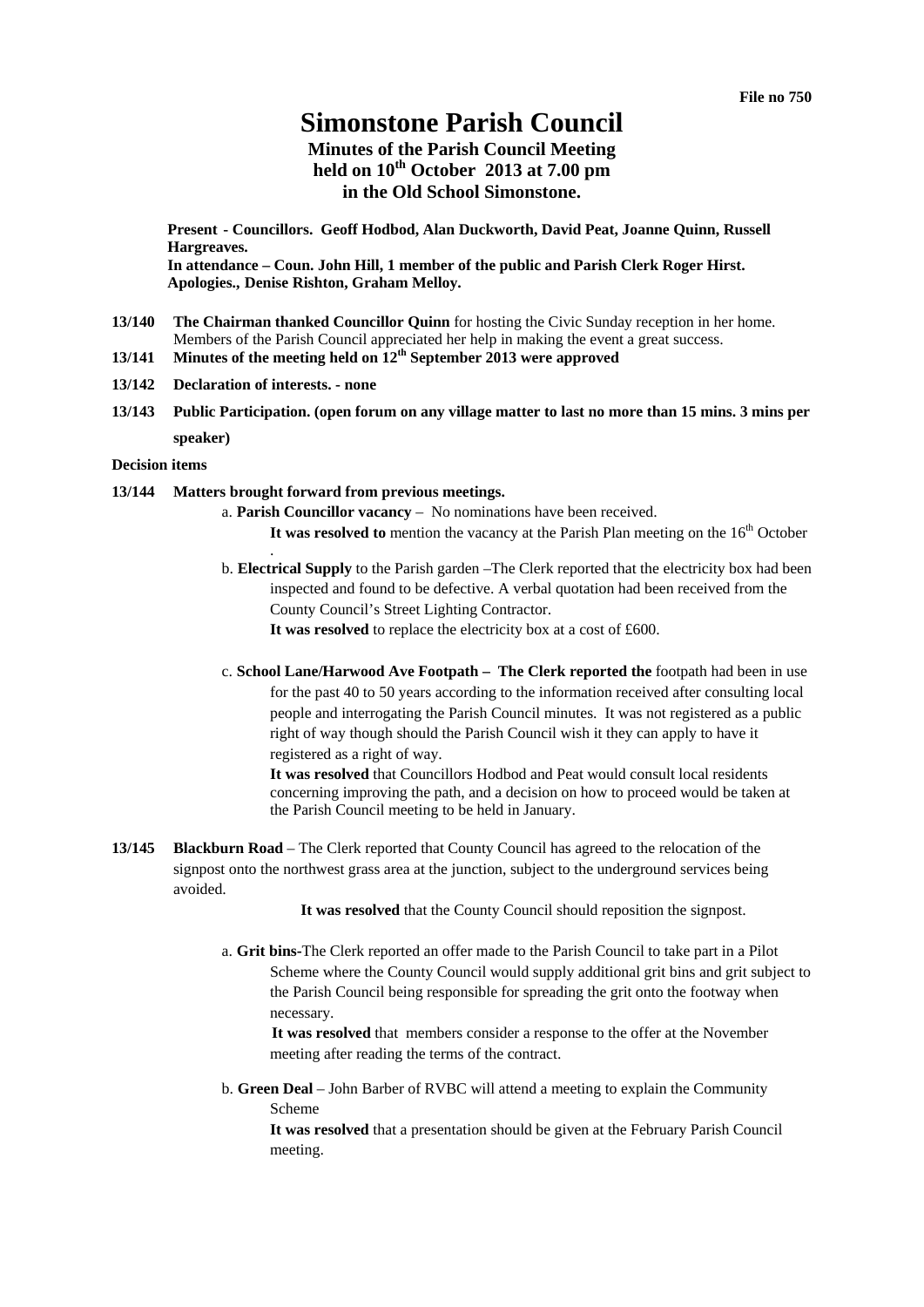# **Simonstone Parish Council**

# **Minutes of the Parish Council Meeting held on 10th October 2013 at 7.00 pm in the Old School Simonstone.**

**Present - Councillors. Geoff Hodbod, Alan Duckworth, David Peat, Joanne Quinn, Russell Hargreaves.** 

**In attendance – Coun. John Hill, 1 member of the public and Parish Clerk Roger Hirst. Apologies., Denise Rishton, Graham Melloy.** 

- **13/140 The Chairman thanked Councillor Quinn** for hosting the Civic Sunday reception in her home. Members of the Parish Council appreciated her help in making the event a great success.
- **13/141 Minutes of the meeting held on 12th September 2013 were approved**
- **13/142 Declaration of interests. none**
- **13/143 Public Participation. (open forum on any village matter to last no more than 15 mins. 3 mins per speaker)**

#### **Decision items**

#### **13/144 Matters brought forward from previous meetings.**

.

- a. **Parish Councillor vacancy** No nominations have been received. It was resolved to mention the vacancy at the Parish Plan meeting on the 16<sup>th</sup> October
- b. **Electrical Supply** to the Parish garden –The Clerk reported that the electricity box had been inspected and found to be defective. A verbal quotation had been received from the County Council's Street Lighting Contractor. **It was resolved** to replace the electricity box at a cost of £600.
- c. **School Lane/Harwood Ave Footpath The Clerk reported the** footpath had been in use for the past 40 to 50 years according to the information received after consulting local people and interrogating the Parish Council minutes. It was not registered as a public right of way though should the Parish Council wish it they can apply to have it registered as a right of way.

**It was resolved** that Councillors Hodbod and Peat would consult local residents concerning improving the path, and a decision on how to proceed would be taken at the Parish Council meeting to be held in January.

**13/145 Blackburn Road** – The Clerk reported that County Council has agreed to the relocation of the signpost onto the northwest grass area at the junction, subject to the underground services being avoided.

It was resolved that the County Council should reposition the signpost.

a. **Grit bins-**The Clerk reported an offer made to the Parish Council to take part in a Pilot Scheme where the County Council would supply additional grit bins and grit subject to the Parish Council being responsible for spreading the grit onto the footway when necessary.

**It was resolved** that members consider a response to the offer at the November meeting after reading the terms of the contract.

b. **Green Deal** – John Barber of RVBC will attend a meeting to explain the Community Scheme

**It was resolved** that a presentation should be given at the February Parish Council meeting.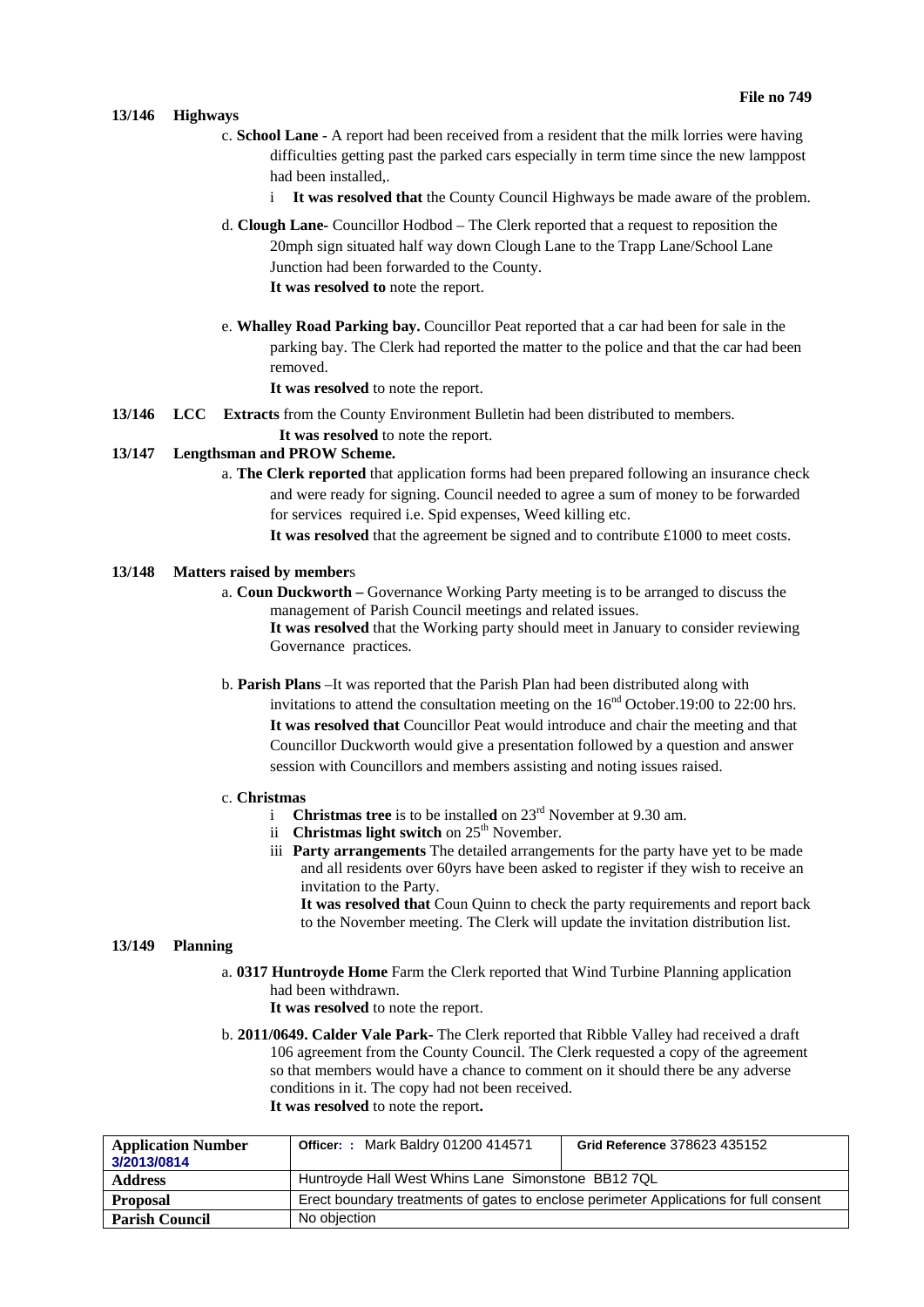### **13/146 Highways**

- c. **School Lane** A report had been received from a resident that the milk lorries were having difficulties getting past the parked cars especially in term time since the new lamppost had been installed,.
	- i **It was resolved that** the County Council Highways be made aware of the problem.
- d. **Clough Lane-** Councillor Hodbod The Clerk reported that a request to reposition the 20mph sign situated half way down Clough Lane to the Trapp Lane/School Lane Junction had been forwarded to the County. **It was resolved to** note the report.
- e. **Whalley Road Parking bay.** Councillor Peat reported that a car had been for sale in the parking bay. The Clerk had reported the matter to the police and that the car had been removed.

**It was resolved** to note the report.

- **13/146 LCC Extracts** from the County Environment Bulletin had been distributed to members.
	- **It was resolved** to note the report.

# **13/147 Lengthsman and PROW Scheme.**

- a. **The Clerk reported** that application forms had been prepared following an insurance check and were ready for signing. Council needed to agree a sum of money to be forwarded for services required i.e. Spid expenses, Weed killing etc.
	- **It was resolved** that the agreement be signed and to contribute £1000 to meet costs.

# **13/148 Matters raised by member**s

- a. **Coun Duckworth** Governance Working Party meeting is to be arranged to discuss the management of Parish Council meetings and related issues. **It was resolved** that the Working party should meet in January to consider reviewing Governance practices.
- b. **Parish Plans** –It was reported that the Parish Plan had been distributed along with invitations to attend the consultation meeting on the  $16<sup>nd</sup>$  October.19:00 to 22:00 hrs. **It was resolved that** Councillor Peat would introduce and chair the meeting and that Councillor Duckworth would give a presentation followed by a question and answer session with Councillors and members assisting and noting issues raised.

#### c. **Christmas**

- i **Christmas tree** is to be installed on 23<sup>rd</sup> November at 9.30 am.
	- ii **Christmas light switch** on  $25<sup>th</sup>$  November.
	- iii **Party arrangements** The detailed arrangements for the party have yet to be made and all residents over 60yrs have been asked to register if they wish to receive an invitation to the Party.

**It was resolved that** Coun Quinn to check the party requirements and report back to the November meeting. The Clerk will update the invitation distribution list.

#### **13/149 Planning**

a. **0317 Huntroyde Home** Farm the Clerk reported that Wind Turbine Planning application had been withdrawn.

**It was resolved** to note the report.

b. **2011/0649. Calder Vale Park-** The Clerk reported that Ribble Valley had received a draft 106 agreement from the County Council. The Clerk requested a copy of the agreement so that members would have a chance to comment on it should there be any adverse conditions in it. The copy had not been received. **It was resolved** to note the report**.**

| <b>Application Number</b><br>3/2013/0814 | <b>Officer: : Mark Baldry 01200 414571</b>                                            | Grid Reference 378623 435152 |  |
|------------------------------------------|---------------------------------------------------------------------------------------|------------------------------|--|
| <b>Address</b>                           | Huntroyde Hall West Whins Lane Simonstone BB12 7QL                                    |                              |  |
| <b>Proposal</b>                          | Erect boundary treatments of gates to enclose perimeter Applications for full consent |                              |  |
| <b>Parish Council</b>                    | No obiection                                                                          |                              |  |